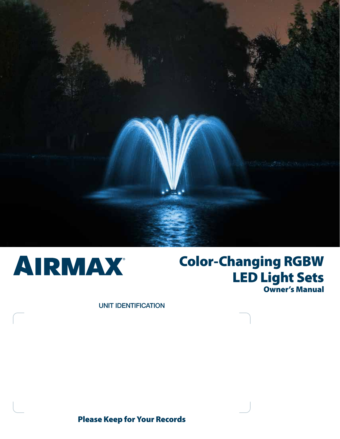



# Color-Changing RGBW LED Light Sets Owner's Manual

UNIT IDENTIFICATION

## Please Keep for Your Records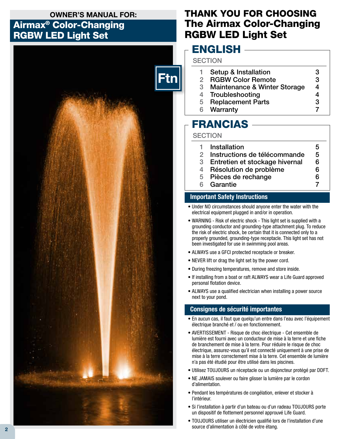## OWNER'S MANUAL FOR:

## Airmax® Color-Changing RGBW LED Light Set



## THANK YOU FOR CHOOSING The Airmax Color-Changing RGBW LED Light Set

## ENGLISH

## **SECTION**

|   | Setup & Installation         | З |
|---|------------------------------|---|
|   | <b>RGBW Color Remote</b>     | 3 |
| 3 | Maintenance & Winter Storage |   |
| 4 | Troubleshooting              |   |
| 5 | <b>Replacement Parts</b>     | 3 |
|   | 1 A I –  –  1                |   |

6 Warranty 7

## FRANCIAS

### **SECTION**

| 1. | Installation                     | 5 |
|----|----------------------------------|---|
| 2. | Instructions de télécommande     | 5 |
|    | 3 Entretien et stockage hivernal | 6 |
| 4  | Résolution de problème           | 6 |
|    | 5 Pièces de rechange             | 6 |
|    | 6 Garantie                       |   |

## Important Safety Instructions

- Under NO circumstances should anyone enter the water with the electrical equipment plugged in and/or in operation.
- WARNING Risk of electric shock This light set is supplied with a grounding conductor and grounding-type attachment plug. To reduce the risk of electric shock, be certain that it is connected only to a properly grounded, grounding-type receptacle. This light set has not been investigated for use in swimming pool areas.
- ALWAYS use a GFCI protected receptacle or breaker.
- NEVER lift or drag the light set by the power cord.
- During freezing temperatures, remove and store inside.
- If installing from a boat or raft ALWAYS wear a Life Guard approved personal flotation device.
- ALWAYS use a qualified electrician when installing a power source next to your pond.

## Consignes de sécurité importantes

- En aucun cas, il faut que quelqu'un entre dans l'eau avec l'équipement électrique branché et / ou en fonctionnement.
- AVERTISSEMENT Risque de choc électrique Cet ensemble de lumière est fourni avec un conducteur de mise à la terre et une fiche de branchement de mise à la terre. Pour réduire le risque de choc électrique, assurez-vous qu'il est connecté uniquement à une prise de mise à la terre correctement mise à la terre. Cet ensemble de lumière n'a pas été étudié pour être utilisé dans les piscines.
- Utilisez TOUJOURS un réceptacle ou un disjoncteur protégé par DDFT.
- NE JAMAIS soulever ou faire glisser la lumière par le cordon d'alimentation.
- Pendant les températures de congélation, enlever et stocker à l'intérieur.
- Si l'installation à partir d'un bateau ou d'un radeau TOUJOURS porte un dispositif de flottement personnel approuvé Life Guard.
- TOUJOURS utiliser un électricien qualifié lors de l'installation d'une source d'alimentation à côté de votre étang.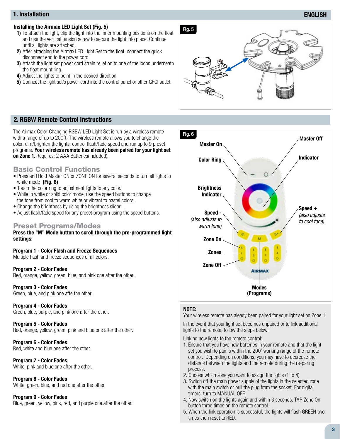#### 1. Installation

#### Installing the Airmax LED Light Set (Fig. 5)

- 1) To attach the light, clip the light into the inner mounting positions on the float and use the vertical tension screw to secure the light into place. Continue until all lights are attached.
- 2) After attaching the Airmax LED Light Set to the float, connect the quick disconnect end to the power cord.
- 3) Attach the light set power cord strain relief on to one of the loops underneath the float mount ring.
- 4) Adjust the lights to point in the desired direction.
- 5) Connect the light set's power cord into the control panel or other GFCI outlet.



#### 2. RGBW Remote Control Instructions

The Airmax Color-Changing RGBW LED Light Set is run by a wireless remote with a range of up to 200ft. The wireless remote allows you to change the color, dim/brighten the lights, control flash/fade speed and run up to 9 preset programs. Your wireless remote has already been paired for your light set on Zone 1. Requires: 2 AAA Batteries(Included).

### Basic Control Functions

- Press and Hold Master ON or ZONE ON for several seconds to turn all lights to white mode (Fig. 6)
- Touch the color ring to adjustment lights to any color.
- While in white or solid color mode, use the speed buttons to change the tone from cool to warm white or vibrant to pastel colors.
- Change the brightness by using the brightness slider.
- Adjust flash/fade speed for any preset program using the speed buttons.

#### Preset Programs/Modes

Press the "M" Mode button to scroll through the pre-programmed light settings:

Program 1 - Color Flash and Freeze Sequences Multiple flash and freeze sequences of all colors.

Program 2 - Color Fades Red, orange, yellow, green, blue, and pink one after the other.

Program 3 - Color Fades Green, blue, and pink one afte the other.

Program 4 - Color Fades Green, blue, purple, and pink one after the other.

Program 5 - Color Fades Red, orange, yellow, green, pink and blue one after the other.

Program 6 - Color Fades Red, white and blue one after the other.

Program 7 - Color Fades White, pink and blue one after the other.

Program 8 - Color Fades White, green, blue, and red one after the other.

#### Program 9 - Color Fades

Blue, green, yellow, pink, red, and purple one after the other.



#### NOTE:

Your wireless remote has aleady been paired for your light set on Zone 1.

In the event that your light set becomes unpaired or to link additional lights to the remote, follow the steps below.

Linking new lights to the remote control:

- 1. Ensure that you have new batteries in your remote and that the light set you wish to pair is within the 200' working range of the remote control. Depending on conditions, you may have to decrease the distance between the lights and the remote during the re-paring process.
- 2. Choose which zone you want to assign the lights (1 to 4)
- 3. Switch off the main power supply of the lights in the selected zone with the main switch or pull the plug from the socket. For digital timers, turn to MANUAL OFF.
- 4. Now switch on the lights again and within 3 seconds, TAP Zone On button three times on the remote control.
- 5. When the link operation is successful, the lights will flash GREEN two times then reset to RED.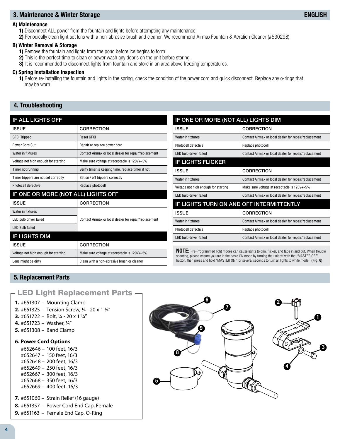#### 3. Maintenance & Winter Storage

#### A) Maintenance

1) Disconnect ALL power from the fountain and lights before attempting any maintenance.

2) Periodically clean light set lens with a non-abrasive brush and cleaner. We recommend Airmax Fountain & Aeration Cleaner (#530298)

#### B) Winter Removal & Storage

- 1) Remove the fountain and lights from the pond before ice begins to form.
- 2) This is the perfect time to clean or power wash any debris on the unit before storing.
- 3) It is recommended to disconnect lights from fountain and store in an area above freezing temperatures.

#### C) Spring Installation Inspection

1) Before re-installing the fountain and lights in the spring, check the condition of the power cord and quick disconnect. Replace any o-rings that may be worn.

### 4. Troubleshooting

| <b>IF ALL LIGHTS OFF</b>             |                                                       |  |  |  |
|--------------------------------------|-------------------------------------------------------|--|--|--|
| <b>ISSUE</b>                         | CORRECTION                                            |  |  |  |
| <b>GFCI Tripped</b>                  | <b>Reset GFCI</b>                                     |  |  |  |
| Power Cord Cut                       | Repair or replace power cord                          |  |  |  |
| Water in fixtures                    | Contact Airmax or local dealer for repair/replacement |  |  |  |
| Voltage not high enough for starting | Make sure voltage at receptacle is 120V+-5%           |  |  |  |
| Timer not running                    | Verify timer is keeping time, replace timer if not    |  |  |  |
| Timer trippers are not set correctly | Set on / off trippers correctly                       |  |  |  |
| Photocell defective                  | Replace photocell                                     |  |  |  |
| IF ONE OR MORE (NOT ALL) LIGHTS OFF  |                                                       |  |  |  |
| <b>ISSUE</b>                         | <b>CORRECTION</b>                                     |  |  |  |
|                                      |                                                       |  |  |  |
| Water in fixtures                    |                                                       |  |  |  |
| <b>IFD bulb driver failed</b>        | Contact Airmax or local dealer for repair/replacement |  |  |  |
| <b>LED Bulb failed</b>               |                                                       |  |  |  |
| <b>IF LIGHTS DIM</b>                 |                                                       |  |  |  |
| <b>ISSUE</b>                         | <b>CORRECTION</b>                                     |  |  |  |
| Voltage not high enough for starting | Make sure voltage at receptacle is 120V+-5%           |  |  |  |

| IF ONE OR MORE (NOT ALL) LIGHTS DIM      |                                                       |  |  |
|------------------------------------------|-------------------------------------------------------|--|--|
| <b>ISSUE</b>                             | <b>CORRECTION</b>                                     |  |  |
| Water in fixtures                        | Contact Airmax or local dealer for repair/replacement |  |  |
| Photocell defective                      | Replace photocell                                     |  |  |
| <b>LED bulb driver failed</b>            | Contact Airmax or local dealer for repair/replacement |  |  |
| <b>IF LIGHTS FLICKER</b>                 |                                                       |  |  |
| <b>ISSUE</b>                             | <b>CORRECTION</b>                                     |  |  |
| Water in fixtures                        | Contact Airmax or local dealer for repair/replacement |  |  |
| Voltage not high enough for starting     | Make sure voltage at receptacle is 120V+-5%           |  |  |
| <b>LED bulb driver failed</b>            | Contact Airmax or local dealer for repair/replacement |  |  |
| IF LIGHTS TURN ON AND OFF INTERMITTENTLY |                                                       |  |  |
| <b>ISSUE</b>                             | <b>CORRECTION</b>                                     |  |  |
| Water in fixtures                        | Contact Airmax or local dealer for repair/replacement |  |  |
| Photocell defective                      | Replace photocell                                     |  |  |
| <b>LED bulb driver failed</b>            | Contact Airmax or local dealer for repair/replacement |  |  |

NOTE: Pre-Programmed light modes can cause lights to dim, flicker, and fade in and out. When trouble shooting, please ensure you are in the basic ON mode by turning the unit off with the "MASTER OFF" button, then press and hold "MASTER ON" for several seconds to turn all lights to white mode. (Fig. 6)

## 5. Replacement Parts

## LED Light Replacement Parts

- **1.** #651307 Mounting Clamp
- **2.** #651325 Tension Screw, ¼ 20 x 1 ¼"
- **3.** #651722 Bolt, ¼ 20 x 1 ¼"
- **4.** #651723 Washer, ¼"
- **5.** #651308 Band Clamp

#### **6. Power Cord Options**

#652646 – 100 feet, 16/3 #652647 – 150 feet, 16/3 #652648 – 200 feet, 16/3 #652649 – 250 feet, 16/3 #652667 – 300 feet, 16/3 #652668 – 350 feet, 16/3 #652669 – 400 feet, 16/3

**7.** #651060 – Strain Relief (16 gauge)

- **8.** #651357 Power Cord End Cap, Female
- **9.** #651163 Female End Cap, O-Ring

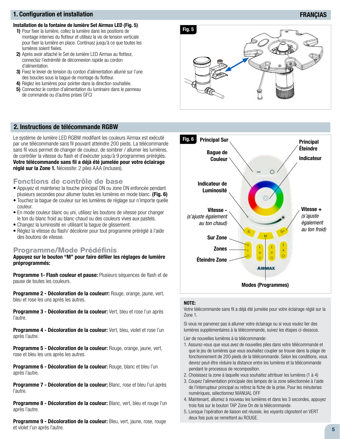#### 1. Configuration et installation

#### Installation de la fontaine de lumière Set Airmax LED (Fig. 5)

- 1) Pour fixer la lumière, collez la lumière dans les positions de montage internes du flotteur et utilisez la vis de tension verticale pour fixer la lumière en place. Continuez jusqu'à ce que toutes les lumières soient fixées.
- 2) Après avoir attaché le Set de lumière LED Airmax au flotteur, connectez l'extrémité de déconnexion rapide au cordon d'alimentation.
- 3) Fixez le levier de tension du cordon d'alimentation allumé sur l'une des boucles sous la bague de montage du flotteur.
- 4) Réglez les lumières pour pointer dans la direction souhaitée.
- 5) Connectez le cordon d'alimentation du luminaire dans le panneau de commande ou d'autres prises GFCI



#### 2. Instructions de télécommande RGBW

Le système de lumière LED RGBW modifiant les couleurs Airmax est exécuté par une télécommande sans fil pouvant atteindre 200 pieds. La télécommande sans fil vous permet de changer de couleur, de sombrer / allumer les lumières, de contrôler la vitesse du flash et d'exécuter jusqu'à 9 programmes préréglés. Votre télécommande sans fil a déjà été jumelée pour votre éclairage réglé sur la Zone 1. Nécessite: 2 piles AAA (incluses).

#### Fonctions de contrôle de base

- Appuyez et maintenez la touche principal ON ou zone ON enfoncée pendant plusieurs secondes pour allumer toutes les lumières en mode blanc. (Fig. 6)
- Touchez la bague de couleur sur les lumières de réglage sur n'importe quelle couleur.
- En mode couleur blanc ou uni, utilisez les boutons de vitesse pour changer le ton du blanc froid au blanc chaud ou des couleurs vives aux pastels.
- Changez la luminosité en utilisant la bague de glissement.
- Réglez la vitesse du flash/ décolorer pour tout programme préréglé à l'aide des boutons de vitesse.

#### Programme/Mode Prédéfinis

Appuyez sur le bouton "M" pour faire défiler les réglages de lumière préprogrammés:

Programme 1- Flash couleur et pause: Plusieurs séquences de flash et de pause de toutes les couleurs.

Programme 2 - Décoloration de la couleurr: Rouge, orange, jaune, vert, bleu et rose les uns après les autres.

Programme 3 - Décoloration de la couleur: Vert, bleu et rose l'un après l'autre.

**Programme 4 - Décoloration de la couleur:** Vert, bleu, violet et rose l'un après l'autre.

Programme 5 - Décoloration de la couleur: Rouge, orange, jaune, vert, rose et bleu les uns après les autres.

Programme 6 - Décoloration de la couleur: Rouge, blanc et bleu l'un après l'autre.

Programme 7 - Décoloration de la couleur: Blanc, rose et bleu l'un après l'autre.

**Programme 8 - Décoloration de la couleur:** Blanc, vert, bleu et rouge l'un après l'autre.

Programme 9 - Décoloration de la couleur: Bleu, vert, jaune, rose, rouge et violet l'un après l'autre.



#### NOTE:

Votre télécommande sans fil a déjà été jumelée pour votre éclairage réglé sur la Zone 1.

Si vous ne parvenez pas à allumer votre éclairage ou si vous voulez lier des lumières supplémentaires à la télécommande, suivez les étapes ci-dessous.

Lier de nouvelles lumières à la télécommande:

- 1. Assurez-vous que vous avez de nouvelles piles dans votre télécommande et que le jeu de lumières que vous souhaitez coupler se trouve dans la plage de fonctionnement de 200 pieds de la télécommande. Selon les conditions, vous devrez peut-être réduire la distance entre les lumières et la télécommande pendant le processus de recomposition.
- 2. Choisissez la zone à laquelle vous souhaitez attribuer les lumières (1 à 4)
- 3. Coupez l'alimentation principale des lampes de la zone sélectionnée à l'aide de l'interrupteur principal ou retirez la fiche de la prise. Pour les minuteries numériques, sélectionnez MANUAL OFF
- 4. Maintenant, allumez à nouveau les lumières et dans les 3 secondes, appuyez trois fois sur le bouton TAP Zone On de la télécommande.
- 5. Lorsque l'opération de liaison est réussie, les voyants clignotent en VERT deux fois puis se remettent au ROUGE.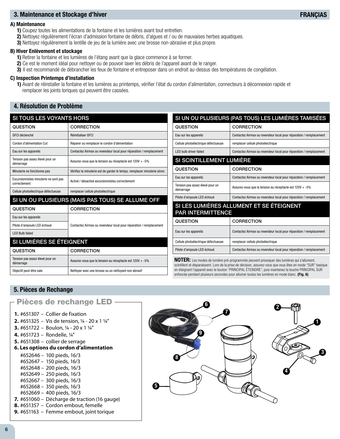### 3. Maintenance et Stockage d'hiver

#### A) Maintenance

- 1) Coupez toutes les alimentations de la fontaine et les lumières avant tout entretien.
- 2) Nettoyez régulièrement l'écran d'admission fontaine de débris, d'algues et / ou de mauvaises herbes aquatiques.
- 3) Nettoyez régulièrement la lentille de jeu de la lumière avec une brosse non-abrasive et plus propre.

#### B) Hiver Enlèvement et stockage

- 1) Retirer la fontaine et les lumières de l'étang avant que la glace commence à se former.
- 2) Ce est le moment idéal pour nettoyer ou de pouvoir laver les débris de l'appareil avant de le ranger.
- 3) Il est recommandé de débrancher les feux de fontaine et entreposer dans un endroit au-dessus des températures de congélation.

#### C) Inspection Printemps d'installation

1) Avant de réinstaller la fontaine et les lumières au printemps, vérifier l'état du cordon d'alimentation, connecteurs à déconnexion rapide et remplacer les joints toriques qui peuvent être cassées.

## 4. Résolution de Problème

| <b>SI TOUS LES VOYANTS HORS</b>                       |                                                                         |  |  |  |
|-------------------------------------------------------|-------------------------------------------------------------------------|--|--|--|
| <b>QUESTION</b>                                       | <b>CORRECTION</b>                                                       |  |  |  |
| GFCI déclenché                                        | Réinitialiser GFCI                                                      |  |  |  |
| Cordon d'alimentation Cut                             | Réparer ou remplacer le cordon d'alimentation                           |  |  |  |
| Eau sur les appareils                                 | Contactez Airmax ou revendeur local pour réparation / remplacement      |  |  |  |
| Tension pas assez élevé pour un<br>démarrage          | Assurez-vous que la tension au réceptacle est 120V + -5%                |  |  |  |
| Minuterie ne fonctionne pas                           | Vérifiez la minuterie est de garder le temps, remplacer minuterie sinon |  |  |  |
| Excursionnistes minuterie ne sont pas<br>correctement | Activé / désactivé excursionnistes correctement                         |  |  |  |
| Cellule photoélectrique défectueuse                   | remplacer cellule photoélectrique                                       |  |  |  |
| SI UN OU PLUSIEURS (MAIS PAS TOUS) SE ALLUME OFF      |                                                                         |  |  |  |
| QUESTION                                              | <b>CORRECTION</b>                                                       |  |  |  |
| Eau sur les appareils                                 | Contactez Airmax ou revendeur local pour réparation / remplacement      |  |  |  |
| Pilote d'ampoule LED échoué                           |                                                                         |  |  |  |
| <b>LED Bulb failed</b>                                |                                                                         |  |  |  |
| SI LUMIÈRES SE ÉTEIGNENT                              |                                                                         |  |  |  |
| <b>QUESTION</b>                                       | <b>CORRECTION</b>                                                       |  |  |  |
| Tension pas assez élevé pour un                       | Assurez-vous que la tension au réceptacle est 120V + -5%                |  |  |  |
| démarrage                                             |                                                                         |  |  |  |
| Objectif peut-être sale                               | Nettoyer avec une brosse ou un nettoyant non abrasif                    |  |  |  |

## SI UN OU PLUSIEURS (PAS TOUS) LES LUMIÈRES TAMISÉES

| <u>UN OUT LUUILUITU (I AU TUUU) LLU LUIVIILITLU TAIVIIULLU</u>       |                                                                                                                 |  |  |  |
|----------------------------------------------------------------------|-----------------------------------------------------------------------------------------------------------------|--|--|--|
| QUESTION                                                             | <b>CORRECTION</b>                                                                                               |  |  |  |
| Eau sur les appareils                                                | Contactez Airmax ou revendeur local pour réparation / remplacement                                              |  |  |  |
| Cellule photoélectrique défectueuse                                  | remplacer cellule photoélectrique                                                                               |  |  |  |
| <b>LED bulb driver failed</b>                                        | Contactez Airmax ou revendeur local pour réparation / remplacement                                              |  |  |  |
| SI SCINTILLEMENT LUMIÈRE                                             |                                                                                                                 |  |  |  |
| QUESTION                                                             | <b>CORRECTION</b>                                                                                               |  |  |  |
| Eau sur les appareils                                                | Contactez Airmax ou revendeur local pour réparation / remplacement                                              |  |  |  |
| Tension pas assez élevé pour un<br>démarrage                         | Assurez-vous que la tension au réceptacle est 120V + -5%                                                        |  |  |  |
| Pilote d'ampoule LED échoué                                          | Contactez Airmax ou revendeur local pour réparation / remplacement                                              |  |  |  |
| SI LES LUMIÈRES ALLUMENT ET SE ÉTEIGNENT<br><b>PAR INTERMITTENCE</b> |                                                                                                                 |  |  |  |
| <b>QUESTION</b>                                                      | <b>CORRECTION</b>                                                                                               |  |  |  |
| Free contractor contratts                                            | $\Omega$ and a density $\Lambda$ becomes a contracted by a contracted by the set of the contracted by $\Lambda$ |  |  |  |

| Eau sur les appareils               | Contactez Airmax ou revendeur local pour réparation / remplacement |
|-------------------------------------|--------------------------------------------------------------------|
| Cellule photoélectrique défectueuse | remplacer cellule photoélectrique                                  |
| Pilote d'ampoule LED échoué         | Contactez Airmax ou revendeur local pour réparation / remplacement |
|                                     |                                                                    |

NOTER: Les modes de lumière pré-programmés peuvent provoquer des lumières qui s'allument, scintillent et disparaissent. Lors de la prise de décision, assurez-vous que vous êtes en mode "SUR" basique en éteignant l'appareil avec le bouton "PRINCIPAL ÉTEINDRE", puis maintenez la touche PRINCIPAL SUR enfoncée pendant plusieurs secondes pour allumer toutes les lumières en mode blanc. (Fig. 6)

## 5. Pièces de Rechange

## Pièces de rechange LED

- **1.** #651307 Collier de fixation
- **2.** #651325 Vis de tension, ¼ 20 x 1 ¼"
- **3.** #651722 Boulon, ¼ 20 x 1 ¼"
- **4.** #651723 Rondelle, ¼"
- **5.** #651308 collier de serrage
- **6. Les options du cordon d'alimentation**

**9.** #651163 – Femme embout, joint torique

#652646 – 100 pieds, 16/3 #652647 – 150 pieds, 16/3 #652648 – 200 pieds, 16/3 #652649 – 250 pieds, 16/3 #652667 – 300 pieds, 16/3 #652668 – 350 pieds, 16/3 #652669 – 400 pieds, 16/3 **7.** #651060 – Décharge de traction (16 gauge) **8.** #651357 – Cordon embout, femelle

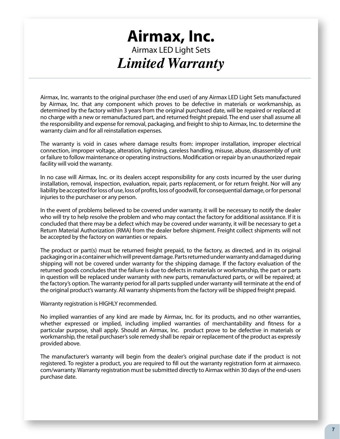# **Airmax, Inc.**  Airmax LED Light Sets *Limited Warranty*

Airmax, Inc. warrants to the original purchaser (the end user) of any Airmax LED Light Sets manufactured by Airmax, Inc. that any component which proves to be defective in materials or workmanship, as determined by the factory within 3 years from the original purchased date, will be repaired or replaced at no charge with a new or remanufactured part, and returned freight prepaid. The end user shall assume all the responsibility and expense for removal, packaging, and freight to ship to Airmax, Inc. to determine the warranty claim and for all reinstallation expenses.

The warranty is void in cases where damage results from: improper installation, improper electrical connection, improper voltage, alteration, lightning, careless handling, misuse, abuse, disassembly of unit or failure to follow maintenance or operating instructions. Modification or repair by an unauthorized repair facility will void the warranty.

In no case will Airmax, Inc. or its dealers accept responsibility for any costs incurred by the user during installation, removal, inspection, evaluation, repair, parts replacement, or for return freight. Nor will any liability be accepted for loss of use, loss of profits, loss of goodwill, for consequential damage, or for personal injuries to the purchaser or any person.

In the event of problems believed to be covered under warranty, it will be necessary to notify the dealer who will try to help resolve the problem and who may contact the factory for additional assistance. If it is concluded that there may be a defect which may be covered under warranty, it will be necessary to get a Return Material Authorization (RMA) from the dealer before shipment. Freight collect shipments will not be accepted by the factory on warranties or repairs.

The product or part(s) must be returned freight prepaid, to the factory, as directed, and in its original packaging or in a container which will prevent damage. Parts returned under warranty and damaged during shipping will not be covered under warranty for the shipping damage. If the factory evaluation of the returned goods concludes that the failure is due to defects in materials or workmanship, the part or parts in question will be replaced under warranty with new parts, remanufactured parts, or will be repaired; at the factory's option. The warranty period for all parts supplied under warranty will terminate at the end of the original product's warranty. All warranty shipments from the factory will be shipped freight prepaid.

Warranty registration is HIGHLY recommended.

No implied warranties of any kind are made by Airmax, Inc. for its products, and no other warranties, whether expressed or implied, including implied warranties of merchantability and fitness for a particular purpose, shall apply. Should an Airmax, Inc. product prove to be defective in materials or workmanship, the retail purchaser's sole remedy shall be repair or replacement of the product as expressly provided above.

The manufacturer's warranty will begin from the dealer's original purchase date if the product is not registered. To register a product, you are required to fill out the warranty registration form at airmaxeco. com/warranty. Warranty registration must be submitted directly to Airmax within 30 days of the end-users purchase date.